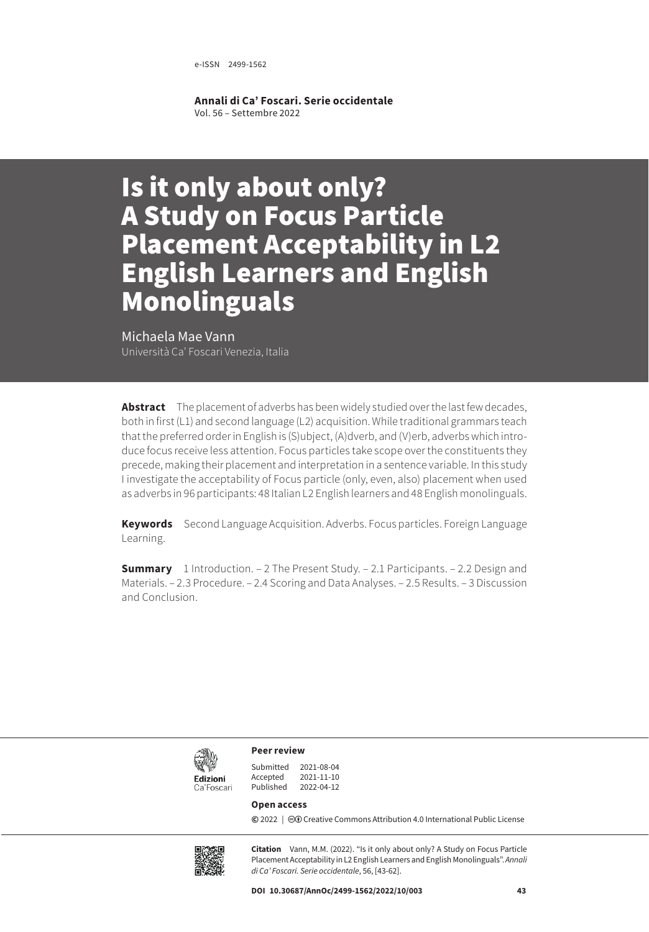e-ISSN 2499-1562

**Annali di Ca' Foscari. Serie occidentale** Vol. 56 – Settembre 2022

# Is it only about only? A Study on Focus Particle Placement Acceptability in L2 English Learners and English Monolinguals

Michaela Mae Vann Università Ca' Foscari Venezia, Italia

**Abstract** The placement of adverbs has been widely studied over the last few decades, both in first (L1) and second language (L2) acquisition. While traditional grammars teach that the preferred order in English is (S)ubject, (A)dverb, and (V)erb, adverbs which introduce focus receive less attention. Focus particles take scope over the constituents they precede, making their placement and interpretation in a sentence variable. In this study I investigate the acceptability of Focus particle (only, even, also) placement when used as adverbs in 96 participants: 48 Italian L2 English learners and 48 English monolinguals.

**Keywords** Second Language Acquisition. Adverbs. Focus particles. Foreign Language Learning.

**Summary** [1 Introduction.](#page-1-0) – [2 The Present Study](#page-3-0). – [2.1 Participants](#page-3-0). – 2.2 Design and [Materials](#page-4-0). – [2.3 Procedure](#page-6-0). – [2.4 Scoring and Data Analyses](#page-6-0). – [2.5 Results](#page-6-0). – [3 Discussion](#page-16-0)  [and Conclusion](#page-16-0).



**Peer review**

| 2021-08-04 |
|------------|
| 2021-11-10 |
| 2022-04-12 |
|            |

#### **Open access**

**©** 2022 | ©**O** [Creative Commons Attribution 4.0 International Public License](https://creativecommons.org/licenses/by/4.0/)



**Citation** Vann, M.M. (2022). "Is it only about only? A Study on Focus Particle Placement Acceptability in L2 English Learners and English Monolinguals". *Annali di Ca' Foscari. Serie occidentale*, 56, [43-62].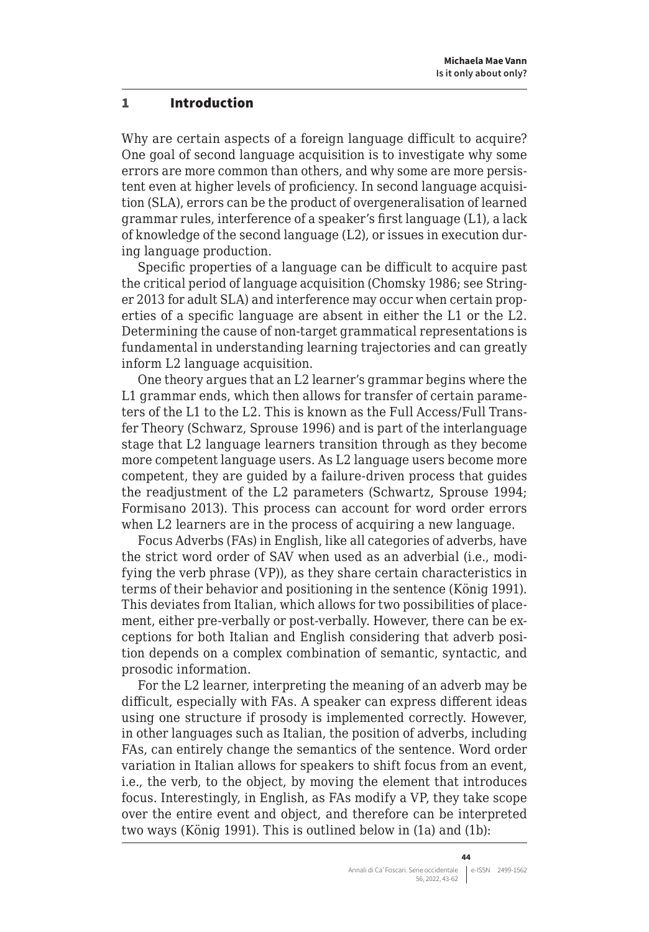#### <span id="page-1-0"></span>1 Introduction

Why are certain aspects of a foreign language difficult to acquire? One goal of second language acquisition is to investigate why some errors are more common than others, and why some are more persistent even at higher levels of proficiency. In second language acquisition (SLA), errors can be the product of overgeneralisation of learned grammar rules, interference of a speaker's first language (L1), a lack of knowledge of the second language (L2), or issues in execution during language production.

Specific properties of a language can be difficult to acquire past the critical period of language acquisition (Chomsky 1986; see Stringer 2013 for adult SLA) and interference may occur when certain properties of a specific language are absent in either the L1 or the L2. Determining the cause of non-target grammatical representations is fundamental in understanding learning trajectories and can greatly inform L2 language acquisition.

One theory argues that an L2 learner's grammar begins where the L1 grammar ends, which then allows for transfer of certain parameters of the L1 to the L2. This is known as the Full Access/Full Transfer Theory (Schwarz, Sprouse 1996) and is part of the interlanguage stage that L2 language learners transition through as they become more competent language users. As L2 language users become more competent, they are guided by a failure-driven process that guides the readjustment of the L2 parameters (Schwartz, Sprouse 1994; Formisano 2013). This process can account for word order errors when L2 learners are in the process of acquiring a new language.

Focus Adverbs (FAs) in English, like all categories of adverbs, have the strict word order of SAV when used as an adverbial (i.e., modifying the verb phrase (VP)), as they share certain characteristics in terms of their behavior and positioning in the sentence (König 1991). This deviates from Italian, which allows for two possibilities of placement, either pre-verbally or post-verbally. However, there can be exceptions for both Italian and English considering that adverb position depends on a complex combination of semantic, syntactic, and prosodic information.

For the L2 learner, interpreting the meaning of an adverb may be difficult, especially with FAs. A speaker can express different ideas using one structure if prosody is implemented correctly. However, in other languages such as Italian, the position of adverbs, including FAs, can entirely change the semantics of the sentence. Word order variation in Italian allows for speakers to shift focus from an event, i.e., the verb, to the object, by moving the element that introduces focus. Interestingly, in English, as FAs modify a VP, they take scope over the entire event and object, and therefore can be interpreted two ways (König 1991). This is outlined below in (1a) and (1b):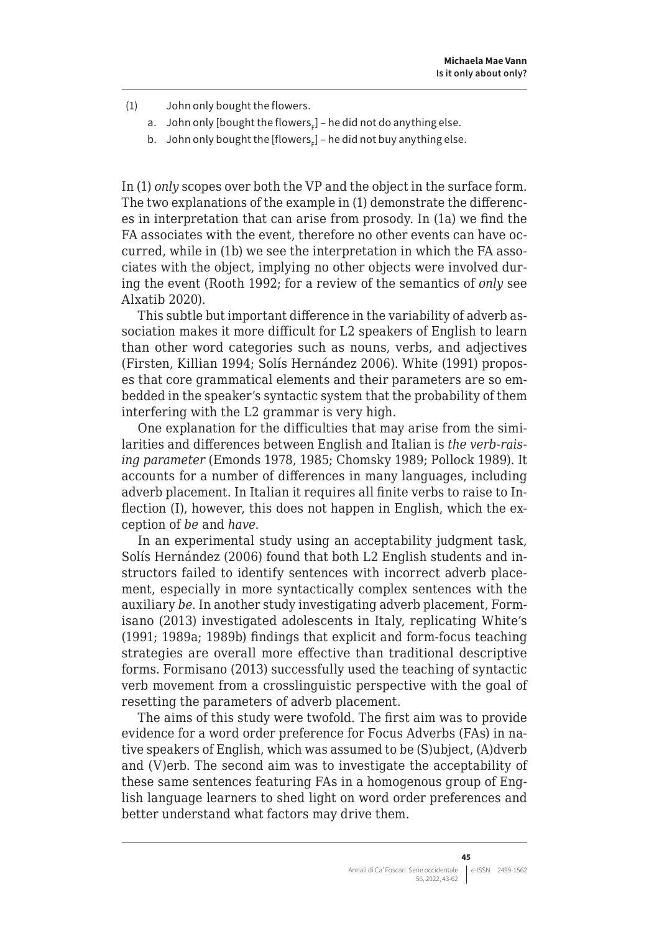(1) John only bought the flowers.

- a.  $\,$  John only [bought the flowers $_{_{\rm F}}$ ] he did not do anything else.
- b. John only bought the [flowers $_{\rm F}$ ] he did not buy anything else.

In (1) *only* scopes over both the VP and the object in the surface form. The two explanations of the example in (1) demonstrate the differences in interpretation that can arise from prosody. In (1a) we find the FA associates with the event, therefore no other events can have occurred, while in (1b) we see the interpretation in which the FA associates with the object, implying no other objects were involved during the event (Rooth 1992; for a review of the semantics of *only* see Alxatib 2020).

This subtle but important difference in the variability of adverb association makes it more difficult for L2 speakers of English to learn than other word categories such as nouns, verbs, and adjectives (Firsten, Killian 1994; Solís Hernández 2006). White (1991) proposes that core grammatical elements and their parameters are so embedded in the speaker's syntactic system that the probability of them interfering with the L2 grammar is very high.

One explanation for the difficulties that may arise from the similarities and differences between English and Italian is *the verb-raising parameter* (Emonds 1978, 1985; Chomsky 1989; Pollock 1989). It accounts for a number of differences in many languages, including adverb placement. In Italian it requires all finite verbs to raise to Inflection (I), however, this does not happen in English, which the exception of *be* and *have*.

In an experimental study using an acceptability judgment task, Solís Hernández (2006) found that both L2 English students and instructors failed to identify sentences with incorrect adverb placement, especially in more syntactically complex sentences with the auxiliary *be*. In another study investigating adverb placement, Formisano (2013) investigated adolescents in Italy, replicating White's (1991; 1989a; 1989b) findings that explicit and form-focus teaching strategies are overall more effective than traditional descriptive forms. Formisano (2013) successfully used the teaching of syntactic verb movement from a crosslinguistic perspective with the goal of resetting the parameters of adverb placement.

The aims of this study were twofold. The first aim was to provide evidence for a word order preference for Focus Adverbs (FAs) in native speakers of English, which was assumed to be (S)ubject, (A)dverb and (V)erb. The second aim was to investigate the acceptability of these same sentences featuring FAs in a homogenous group of English language learners to shed light on word order preferences and better understand what factors may drive them.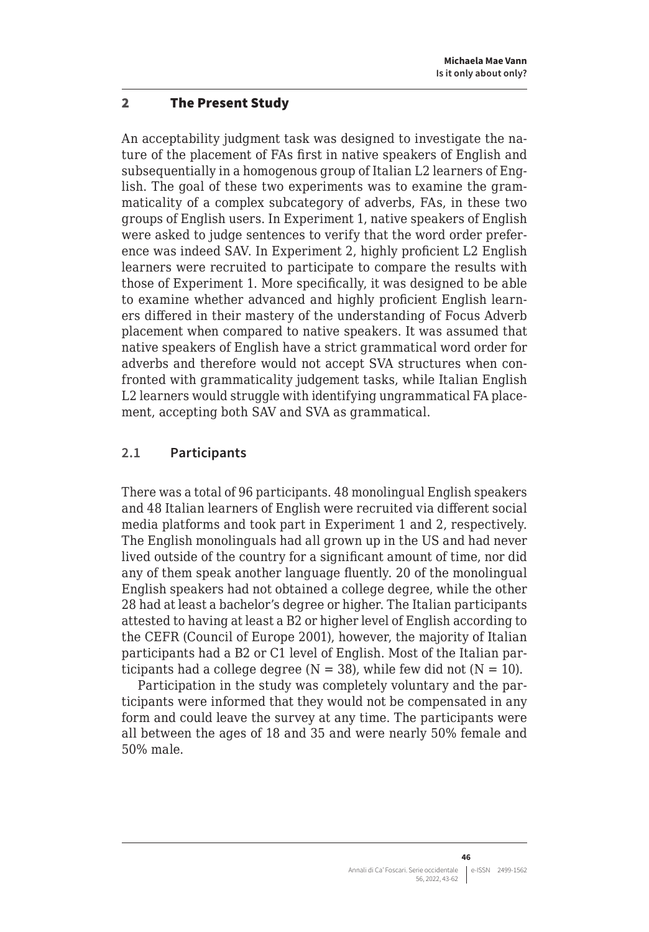#### <span id="page-3-0"></span>2 The Present Study

An acceptability judgment task was designed to investigate the nature of the placement of FAs first in native speakers of English and subsequentially in a homogenous group of Italian L2 learners of English. The goal of these two experiments was to examine the grammaticality of a complex subcategory of adverbs, FAs, in these two groups of English users. In Experiment 1, native speakers of English were asked to judge sentences to verify that the word order preference was indeed SAV. In Experiment 2, highly proficient L2 English learners were recruited to participate to compare the results with those of Experiment 1. More specifically, it was designed to be able to examine whether advanced and highly proficient English learners differed in their mastery of the understanding of Focus Adverb placement when compared to native speakers. It was assumed that native speakers of English have a strict grammatical word order for adverbs and therefore would not accept SVA structures when confronted with grammaticality judgement tasks, while Italian English L2 learners would struggle with identifying ungrammatical FA placement, accepting both SAV and SVA as grammatical.

## **2.1 Participants**

There was a total of 96 participants. 48 monolingual English speakers and 48 Italian learners of English were recruited via different social media platforms and took part in Experiment 1 and 2, respectively. The English monolinguals had all grown up in the US and had never lived outside of the country for a significant amount of time, nor did any of them speak another language fluently. 20 of the monolingual English speakers had not obtained a college degree, while the other 28 had at least a bachelor's degree or higher. The Italian participants attested to having at least a B2 or higher level of English according to the CEFR (Council of Europe 2001), however, the majority of Italian participants had a B2 or C1 level of English. Most of the Italian participants had a college degree  $(N = 38)$ , while few did not  $(N = 10)$ .

Participation in the study was completely voluntary and the participants were informed that they would not be compensated in any form and could leave the survey at any time. The participants were all between the ages of 18 and 35 and were nearly 50% female and 50% male.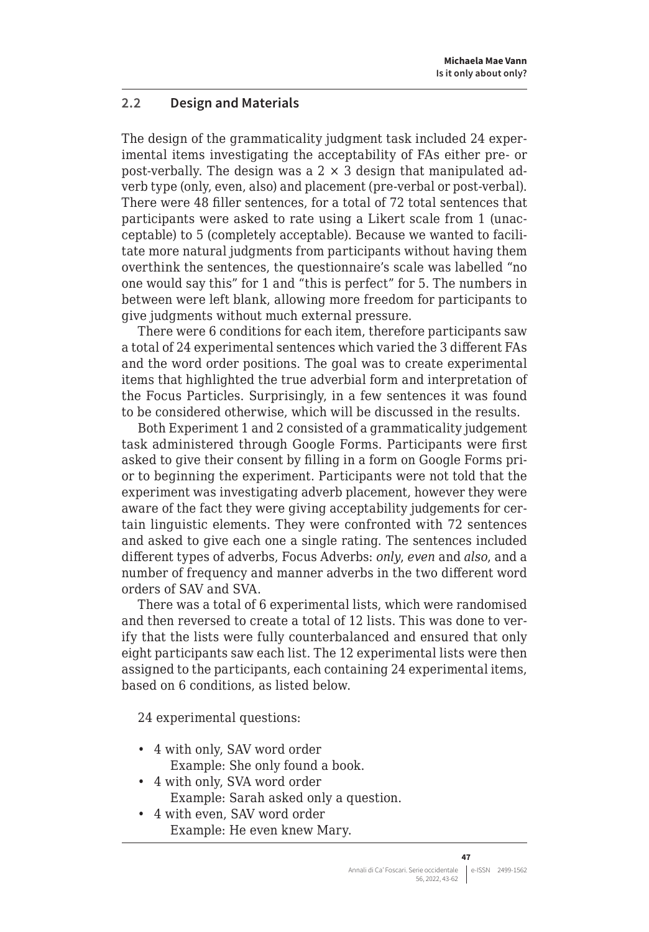# <span id="page-4-0"></span>**2.2 Design and Materials**

The design of the grammaticality judgment task included 24 experimental items investigating the acceptability of FAs either pre- or post-verbally. The design was a  $2 \times 3$  design that manipulated adverb type (only, even, also) and placement (pre-verbal or post-verbal). There were 48 filler sentences, for a total of 72 total sentences that participants were asked to rate using a Likert scale from 1 (unacceptable) to 5 (completely acceptable). Because we wanted to facilitate more natural judgments from participants without having them overthink the sentences, the questionnaire's scale was labelled "no one would say this" for 1 and "this is perfect" for 5. The numbers in between were left blank, allowing more freedom for participants to give judgments without much external pressure.

There were 6 conditions for each item, therefore participants saw a total of 24 experimental sentences which varied the 3 different FAs and the word order positions. The goal was to create experimental items that highlighted the true adverbial form and interpretation of the Focus Particles. Surprisingly, in a few sentences it was found to be considered otherwise, which will be discussed in the results.

Both Experiment 1 and 2 consisted of a grammaticality judgement task administered through Google Forms. Participants were first asked to give their consent by filling in a form on Google Forms prior to beginning the experiment. Participants were not told that the experiment was investigating adverb placement, however they were aware of the fact they were giving acceptability judgements for certain linguistic elements. They were confronted with 72 sentences and asked to give each one a single rating. The sentences included different types of adverbs, Focus Adverbs: *only*, *even* and *also*, and a number of frequency and manner adverbs in the two different word orders of SAV and SVA.

There was a total of 6 experimental lists, which were randomised and then reversed to create a total of 12 lists. This was done to verify that the lists were fully counterbalanced and ensured that only eight participants saw each list. The 12 experimental lists were then assigned to the participants, each containing 24 experimental items, based on 6 conditions, as listed below.

24 experimental questions:

- 4 with only, SAV word order Example: She only found a book.
- 4 with only, SVA word order Example: Sarah asked only a question.
- 4 with even, SAV word order Example: He even knew Mary.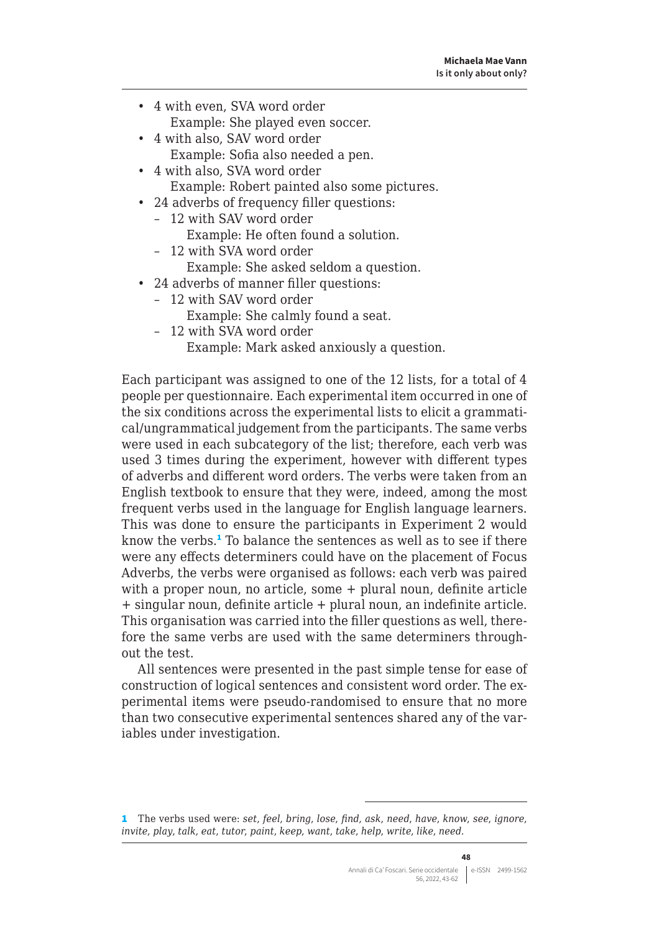- 4 with even, SVA word order Example: She played even soccer.
- 4 with also, SAV word order Example: Sofia also needed a pen.
- 4 with also, SVA word order Example: Robert painted also some pictures.
- 24 adverbs of frequency filler questions:
	- 12 with SAV word order
		- Example: He often found a solution.
	- 12 with SVA word order Example: She asked seldom a question.
- 24 adverbs of manner filler questions:
	- 12 with SAV word order
		- Example: She calmly found a seat.
	- 12 with SVA word order

Example: Mark asked anxiously a question.

Each participant was assigned to one of the 12 lists, for a total of 4 people per questionnaire. Each experimental item occurred in one of the six conditions across the experimental lists to elicit a grammatical/ungrammatical judgement from the participants. The same verbs were used in each subcategory of the list; therefore, each verb was used 3 times during the experiment, however with different types of adverbs and different word orders. The verbs were taken from an English textbook to ensure that they were, indeed, among the most frequent verbs used in the language for English language learners. This was done to ensure the participants in Experiment 2 would know the verbs.<sup>1</sup> To balance the sentences as well as to see if there were any effects determiners could have on the placement of Focus Adverbs, the verbs were organised as follows: each verb was paired with a proper noun, no article, some + plural noun, definite article + singular noun, definite article + plural noun, an indefinite article. This organisation was carried into the filler questions as well, therefore the same verbs are used with the same determiners throughout the test.

All sentences were presented in the past simple tense for ease of construction of logical sentences and consistent word order. The experimental items were pseudo-randomised to ensure that no more than two consecutive experimental sentences shared any of the variables under investigation.

<sup>1</sup> The verbs used were: *set*, *feel*, *bring*, *lose*, *find*, *ask*, *need*, *have*, *know*, *see*, *ignore*, *invite*, *play*, *talk*, *eat*, *tutor*, *paint*, *keep*, *want*, *take*, *help*, *write*, *like*, *need*.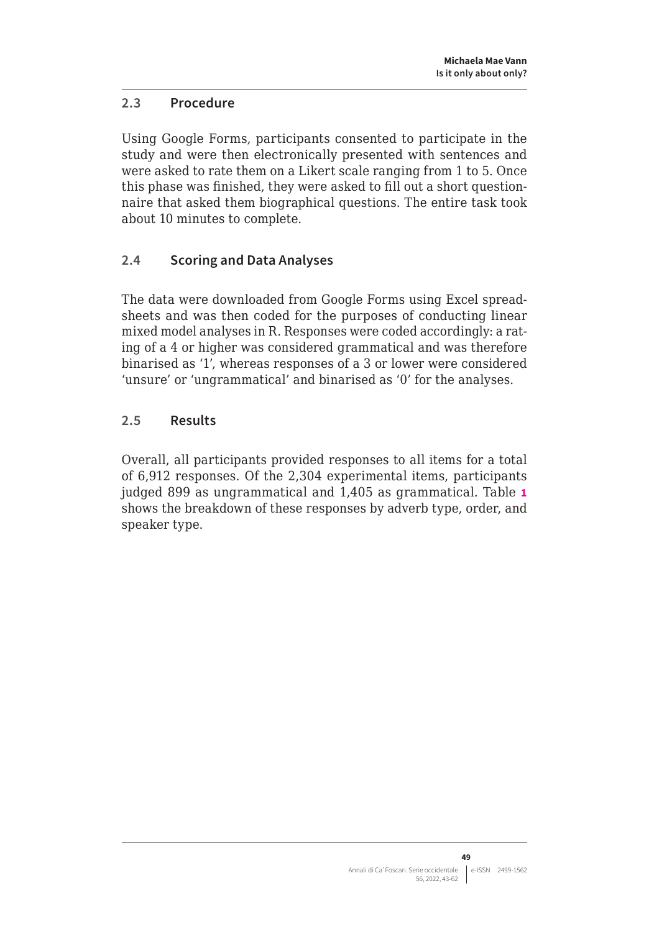# <span id="page-6-0"></span>**2.3 Procedure**

Using Google Forms, participants consented to participate in the study and were then electronically presented with sentences and were asked to rate them on a Likert scale ranging from 1 to 5. Once this phase was finished, they were asked to fill out a short questionnaire that asked them biographical questions. The entire task took about 10 minutes to complete.

# **2.4 Scoring and Data Analyses**

The data were downloaded from Google Forms using Excel spreadsheets and was then coded for the purposes of conducting linear mixed model analyses in R. Responses were coded accordingly: a rating of a 4 or higher was considered grammatical and was therefore binarised as '1', whereas responses of a 3 or lower were considered 'unsure' or 'ungrammatical' and binarised as '0' for the analyses.

# **2.5 Results**

Overall, all participants provided responses to all items for a total of 6,912 responses. Of the 2,304 experimental items, participants judged 899 as ungrammatical and 1,405 as grammatical. Table **1** shows the breakdown of these responses by adverb type, order, and speaker type.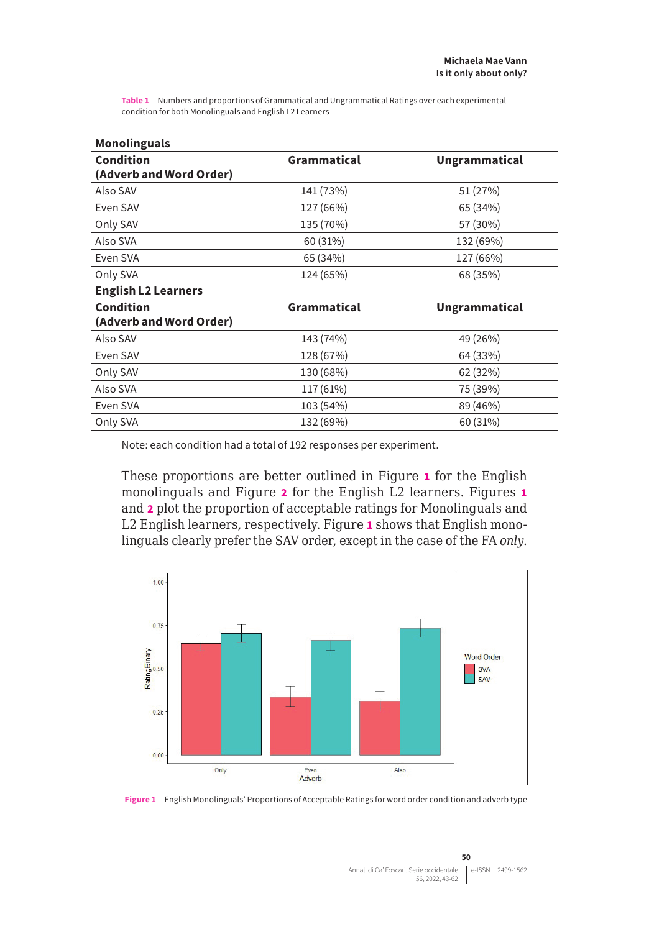**Table 1** Numbers and proportions of Grammatical and Ungrammatical Ratings over each experimental condition for both Monolinguals and English L2 Learners

| <b>Monolinguals</b>        |             |                      |
|----------------------------|-------------|----------------------|
| Condition                  | Grammatical | <b>Ungrammatical</b> |
| (Adverb and Word Order)    |             |                      |
| Also SAV                   | 141 (73%)   | 51 (27%)             |
| Even SAV                   | 127 (66%)   | 65 (34%)             |
| Only SAV                   | 135 (70%)   | 57 (30%)             |
| Also SVA                   | 60 (31%)    | 132 (69%)            |
| Even SVA                   | 65 (34%)    | 127 (66%)            |
| Only SVA                   | 124 (65%)   | 68 (35%)             |
| <b>English L2 Learners</b> |             |                      |
| Condition                  | Grammatical | <b>Ungrammatical</b> |
| (Adverb and Word Order)    |             |                      |
| Also SAV                   | 143 (74%)   | 49 (26%)             |
| Even SAV                   | 128 (67%)   | 64 (33%)             |
| Only SAV                   | 130 (68%)   | 62 (32%)             |
| Also SVA                   | 117 (61%)   | 75 (39%)             |
| Even SVA                   | 103 (54%)   | 89 (46%)             |
| Only SVA                   | 132 (69%)   | 60 (31%)             |

Note: each condition had a total of 192 responses per experiment.

These proportions are better outlined in Figure **1** for the English monolinguals and Figure **2** for the English L2 learners. Figures **1** and **2** plot the proportion of acceptable ratings for Monolinguals and L2 English learners, respectively. Figure **1** shows that English monolinguals clearly prefer the SAV order, except in the case of the FA *only*.



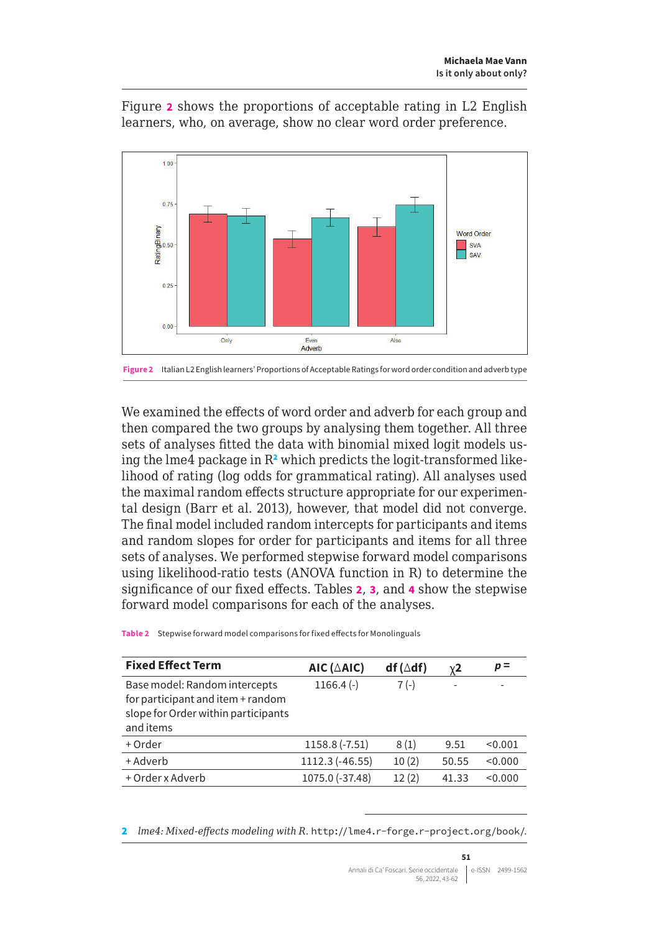

Figure **2** shows the proportions of acceptable rating in L2 English learners, who, on average, show no clear word order preference.

We examined the effects of word order and adverb for each group and then compared the two groups by analysing them together. All three sets of analyses fitted the data with binomial mixed logit models using the lme4 package in R<sup>2</sup> which predicts the logit-transformed likelihood of rating (log odds for grammatical rating). All analyses used the maximal random effects structure appropriate for our experimental design (Barr et al. 2013), however, that model did not converge. The final model included random intercepts for participants and items and random slopes for order for participants and items for all three sets of analyses. We performed stepwise forward model comparisons using likelihood-ratio tests (ANOVA function in R) to determine the significance of our fixed effects. Tables **2**, **3**, and **4** show the stepwise forward model comparisons for each of the analyses.

**Table 2** Stepwise forward model comparisons for fixed effects for Monolinguals

| <b>Fixed Effect Term</b>                                                                                               | AIC ( $\triangle$ AIC) | $df(\triangle df)$ | $\chi$ 2 | $p =$   |
|------------------------------------------------------------------------------------------------------------------------|------------------------|--------------------|----------|---------|
| Base model: Random intercepts<br>for participant and item + random<br>slope for Order within participants<br>and items | $1166.4(-)$            | $7(-)$             |          |         |
| + Order                                                                                                                | 1158.8 (-7.51)         | 8(1)               | 9.51     | < 0.001 |
| + Adverb                                                                                                               | 1112.3 (-46.55)        | 10(2)              | 50.55    | < 0.000 |
| + Order x Adverb                                                                                                       | 1075.0 (-37.48)        | 12(2)              | 41.33    | < 0.000 |
|                                                                                                                        |                        |                    |          |         |

2 *lme4: Mixed-effects modeling with R*. <http://lme4.r-forge.r-project.org/book/>.

**Figure 2** Italian L2 English learners' Proportions of Acceptable Ratings for word order condition and adverb type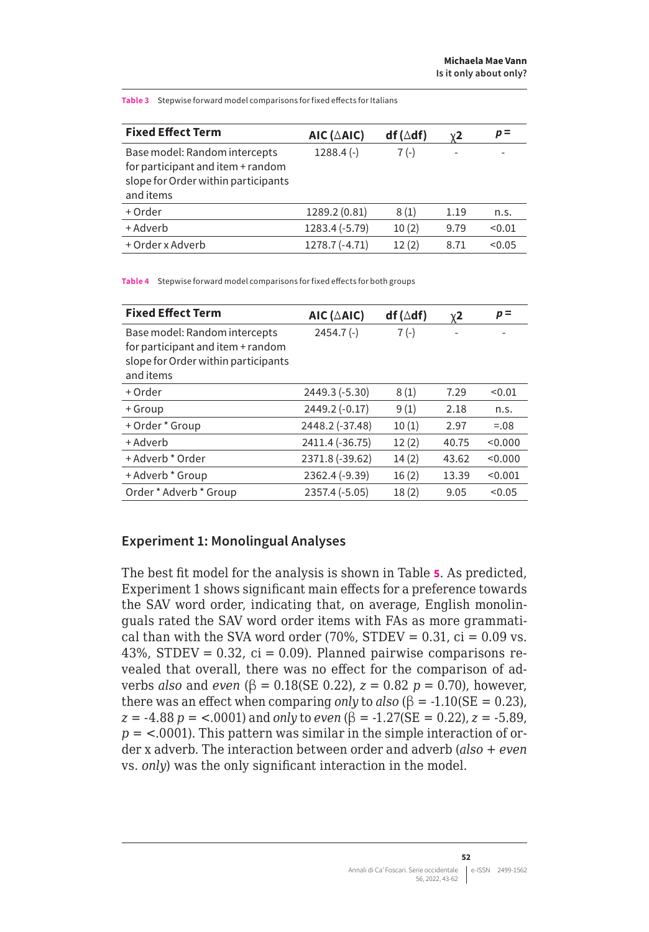**Is it only about only?**

**Table 3** Stepwise forward model comparisons for fixed effects for Italians

| <b>Fixed Effect Term</b>                                                                                               | AIC ( $\triangle$ AIC) | $df(\triangle df)$ | $\chi$ 2 | $p =$  |
|------------------------------------------------------------------------------------------------------------------------|------------------------|--------------------|----------|--------|
| Base model: Random intercepts<br>for participant and item + random<br>slope for Order within participants<br>and items | $1288.4(-)$            | $7(-)$             |          |        |
| + Order                                                                                                                | 1289.2 (0.81)          | 8(1)               | 1.19     | n.s.   |
| + Adverb                                                                                                               | 1283.4 (-5.79)         | 10(2)              | 9.79     | < 0.01 |
| + Order x Adverb                                                                                                       | 1278.7 (-4.71)         | 12(2)              | 8.71     | < 0.05 |

**Table 4** Stepwise forward model comparisons for fixed effects for both groups

| <b>Fixed Effect Term</b>                                                                                               | AIC ( $\triangle$ AIC) | $df(\triangle df)$ | $\chi$ 2 | $p =$   |
|------------------------------------------------------------------------------------------------------------------------|------------------------|--------------------|----------|---------|
| Base model: Random intercepts<br>for participant and item + random<br>slope for Order within participants<br>and items | $2454.7(-)$            | $7(-)$             |          |         |
| + Order                                                                                                                | 2449.3 (-5.30)         | 8(1)               | 7.29     | < 0.01  |
| + Group                                                                                                                | 2449.2 (-0.17)         | 9(1)               | 2.18     | n.s.    |
| + Order * Group                                                                                                        | 2448.2 (-37.48)        | 10(1)              | 2.97     | $=.08$  |
| + Adverb                                                                                                               | 2411.4 (-36.75)        | 12(2)              | 40.75    | < 0.000 |
| + Adverb * Order                                                                                                       | 2371.8 (-39.62)        | 14(2)              | 43.62    | < 0.000 |
| + Adverb * Group                                                                                                       | 2362.4 (-9.39)         | 16(2)              | 13.39    | < 0.001 |
| Order * Adverb * Group                                                                                                 | 2357.4 (-5.05)         | 18(2)              | 9.05     | < 0.05  |

#### **Experiment 1: Monolingual Analyses**

The best fit model for the analysis is shown in Table **5**. As predicted, Experiment 1 shows significant main effects for a preference towards the SAV word order, indicating that, on average, English monolinguals rated the SAV word order items with FAs as more grammatical than with the SVA word order (70%, STDEV =  $0.31$ , ci =  $0.09$  vs. 43%, STDEV =  $0.32$ , ci =  $0.09$ ). Planned pairwise comparisons revealed that overall, there was no effect for the comparison of adverbs *also* and *even* (β = 0.18(SE 0.22), *z* = 0.82 *p* = 0.70), however, there was an effect when comparing *only* to *also*  $(\beta = -1.10)(SE = 0.23)$ ,  $\chi$  = -4.88 *p* = <.0001) and *only* to *even* ( $\beta$  = -1.27(SE = 0.22),  $\chi$  = -5.89,  $p =$  <.0001). This pattern was similar in the simple interaction of order x adverb. The interaction between order and adverb (*also* + *even* vs. *only*) was the only significant interaction in the model.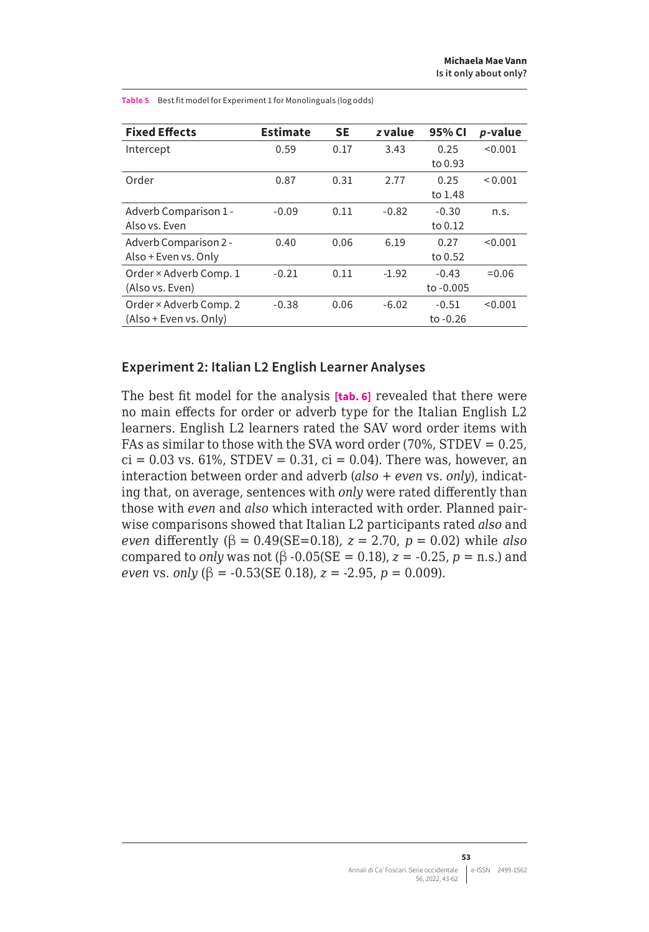| <b>Fixed Effects</b>   | <b>Estimate</b> | <b>SE</b> | z value | 95% CI     | p-value      |
|------------------------|-----------------|-----------|---------|------------|--------------|
| Intercept              | 0.59            | 0.17      | 3.43    | 0.25       | < 0.001      |
|                        |                 |           |         | to 0.93    |              |
| Order                  | 0.87            | 0.31      | 2.77    | 0.25       | ${}_{0.001}$ |
|                        |                 |           |         | to 1.48    |              |
| Adverb Comparison 1 -  | $-0.09$         | 0.11      | $-0.82$ | $-0.30$    | n.s.         |
| Also vs. Even          |                 |           |         | to 0.12    |              |
| Adverb Comparison 2 -  | 0.40            | 0.06      | 6.19    | 0.27       | < 0.001      |
| Also + Even vs. Only   |                 |           |         | to 0.52    |              |
| Order × Adverb Comp. 1 | $-0.21$         | 0.11      | $-1.92$ | $-0.43$    | $= 0.06$     |
| (Also vs. Even)        |                 |           |         | to -0.005  |              |
| Order × Adverb Comp. 2 | $-0.38$         | 0.06      | $-6.02$ | $-0.51$    | < 0.001      |
| (Also + Even vs. Only) |                 |           |         | to $-0.26$ |              |

**Table 5** Best fit model for Experiment 1 for Monolinguals (log odds)

#### **Experiment 2: Italian L2 English Learner Analyses**

The best fit model for the analysis **[tab. 6]** revealed that there were no main effects for order or adverb type for the Italian English L2 learners. English L2 learners rated the SAV word order items with FAs as similar to those with the SVA word order (70%, STDEV = 0.25,  $ci = 0.03$  vs. 61%, STDEV = 0.31,  $ci = 0.04$ ). There was, however, an interaction between order and adverb (*also* + *even* vs. *only*), indicating that, on average, sentences with *only* were rated differently than those with *even* and *also* which interacted with order. Planned pairwise comparisons showed that Italian L2 participants rated *also* and *even* differently (β = 0.49(SE=0.18),  $z = 2.70$ ,  $p = 0.02$ ) while *also* compared to *only* was not (β -0.05(SE = 0.18),  $z = -0.25$ ,  $p =$  n.s.) and *even vs. only*  $(\beta = -0.53$ (SE 0.18),  $z = -2.95$ ,  $p = 0.009$ ).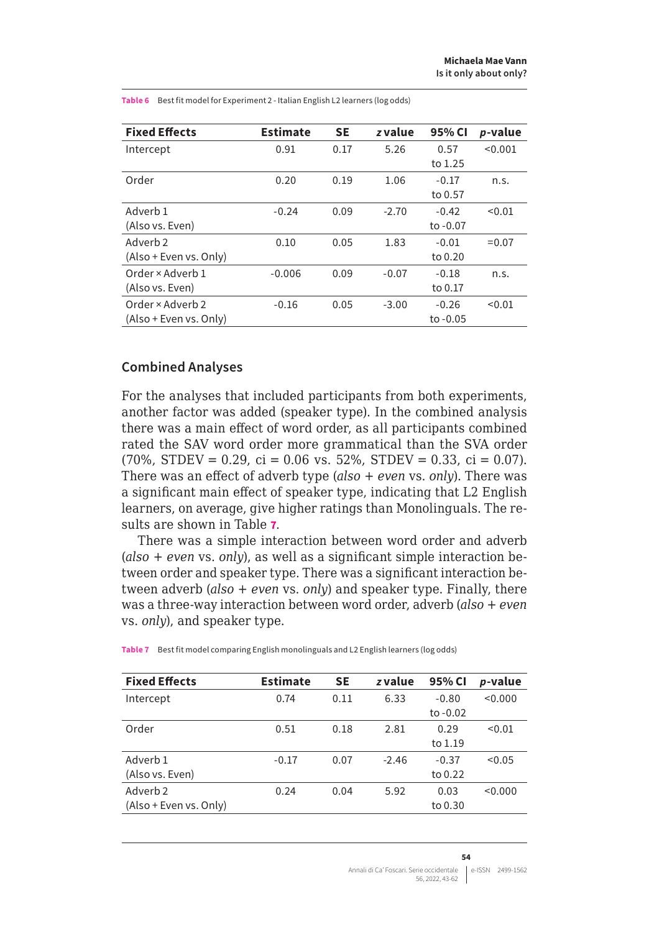| <b>Fixed Effects</b>   | <b>Estimate</b> | <b>SE</b> | z value | 95% CI     | p-value  |
|------------------------|-----------------|-----------|---------|------------|----------|
| Intercept              | 0.91            | 0.17      | 5.26    | 0.57       | < 0.001  |
|                        |                 |           |         | to 1.25    |          |
| Order                  | 0.20            | 0.19      | 1.06    | $-0.17$    | n.s.     |
|                        |                 |           |         | to 0.57    |          |
| Adverb 1               | $-0.24$         | 0.09      | $-2.70$ | $-0.42$    | < 0.01   |
| (Also vs. Even)        |                 |           |         | to -0.07   |          |
| Adverb 2               | 0.10            | 0.05      | 1.83    | $-0.01$    | $= 0.07$ |
| (Also + Even vs. Only) |                 |           |         | to 0.20    |          |
| Order × Adverb 1       | $-0.006$        | 0.09      | $-0.07$ | $-0.18$    | n.s.     |
| (Also vs. Even)        |                 |           |         | to 0.17    |          |
| Order × Adverb 2       | $-0.16$         | 0.05      | $-3.00$ | $-0.26$    | < 0.01   |
| (Also + Even vs. Only) |                 |           |         | to $-0.05$ |          |

**Table 6** Best fit model for Experiment 2 - Italian English L2 learners (log odds)

#### **Combined Analyses**

For the analyses that included participants from both experiments, another factor was added (speaker type). In the combined analysis there was a main effect of word order, as all participants combined rated the SAV word order more grammatical than the SVA order  $(70\% , STDEV = 0.29, c_i = 0.06 \text{ vs. } 52\%$ ,  $STDEV = 0.33, c_i = 0.07$ ). There was an effect of adverb type (*also* + *even* vs. *only*). There was a significant main effect of speaker type, indicating that L2 English learners, on average, give higher ratings than Monolinguals. The results are shown in Table **7**.

There was a simple interaction between word order and adverb (*also* + *even* vs. *only*), as well as a significant simple interaction between order and speaker type. There was a significant interaction between adverb (*also* + *even* vs. *only*) and speaker type. Finally, there was a three-way interaction between word order, adverb (*also* + *even* vs. *only*), and speaker type.

| < 0.000<br>$-0.80$ |
|--------------------|
|                    |
| to $-0.02$         |
| < 0.01<br>0.29     |
| to 1.19            |
| < 0.05<br>$-0.37$  |
| to 0.22            |
| < 0.000<br>0.03    |
| to 0.30            |
|                    |

**Table 7** Best fit model comparing English monolinguals and L2 English learners (log odds)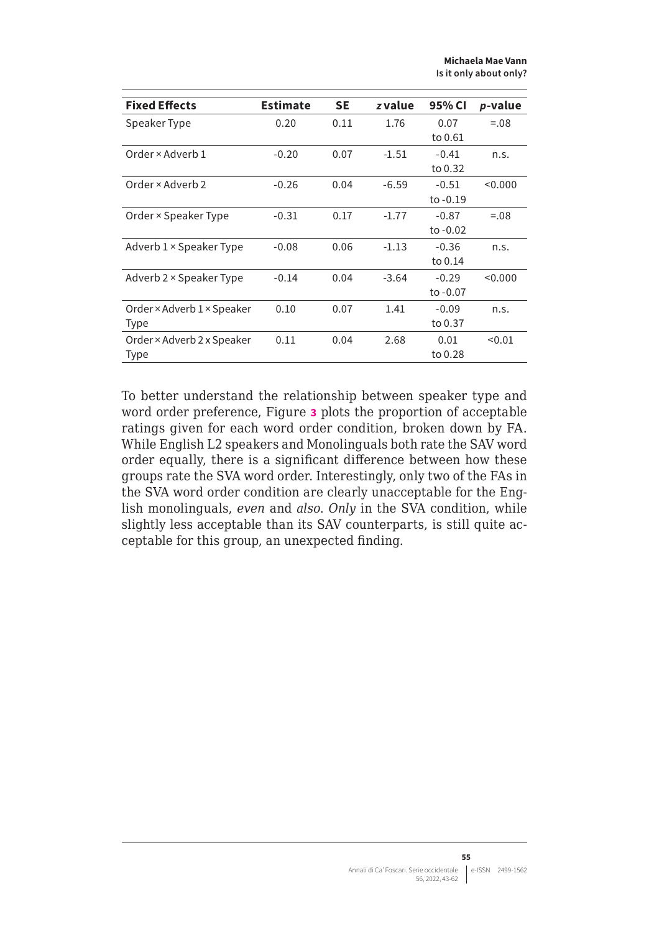**Michaela Mae Vann Is it only about only?**

| <b>Fixed Effects</b>           | <b>Estimate</b> | <b>SE</b> | z value | 95% CI     | p-value |
|--------------------------------|-----------------|-----------|---------|------------|---------|
| Speaker Type                   | 0.20            | 0.11      | 1.76    | 0.07       | $=.08$  |
|                                |                 |           |         | to 0.61    |         |
| Order × Adverb 1               | $-0.20$         | 0.07      | $-1.51$ | $-0.41$    | n.s.    |
|                                |                 |           |         | to 0.32    |         |
| Order × Adverb 2               | $-0.26$         | 0.04      | $-6.59$ | $-0.51$    | < 0.000 |
|                                |                 |           |         | to $-0.19$ |         |
| Order × Speaker Type           | $-0.31$         | 0.17      | $-1.77$ | $-0.87$    | $=.08$  |
|                                |                 |           |         | to $-0.02$ |         |
| Adverb $1 \times$ Speaker Type | $-0.08$         | 0.06      | $-1.13$ | $-0.36$    | n.s.    |
|                                |                 |           |         | to 0.14    |         |
| Adverb 2 × Speaker Type        | $-0.14$         | 0.04      | $-3.64$ | $-0.29$    | < 0.000 |
|                                |                 |           |         | to -0.07   |         |
| Order × Adverb 1 × Speaker     | 0.10            | 0.07      | 1.41    | $-0.09$    | n.s.    |
| Type                           |                 |           |         | to 0.37    |         |
| Order × Adverb 2 x Speaker     | 0.11            | 0.04      | 2.68    | 0.01       | < 0.01  |
| Type                           |                 |           |         | to 0.28    |         |

To better understand the relationship between speaker type and word order preference, Figure **3** plots the proportion of acceptable ratings given for each word order condition, broken down by FA. While English L2 speakers and Monolinguals both rate the SAV word order equally, there is a significant difference between how these groups rate the SVA word order. Interestingly, only two of the FAs in the SVA word order condition are clearly unacceptable for the English monolinguals, *even* and *also*. *Only* in the SVA condition, while slightly less acceptable than its SAV counterparts, is still quite acceptable for this group, an unexpected finding.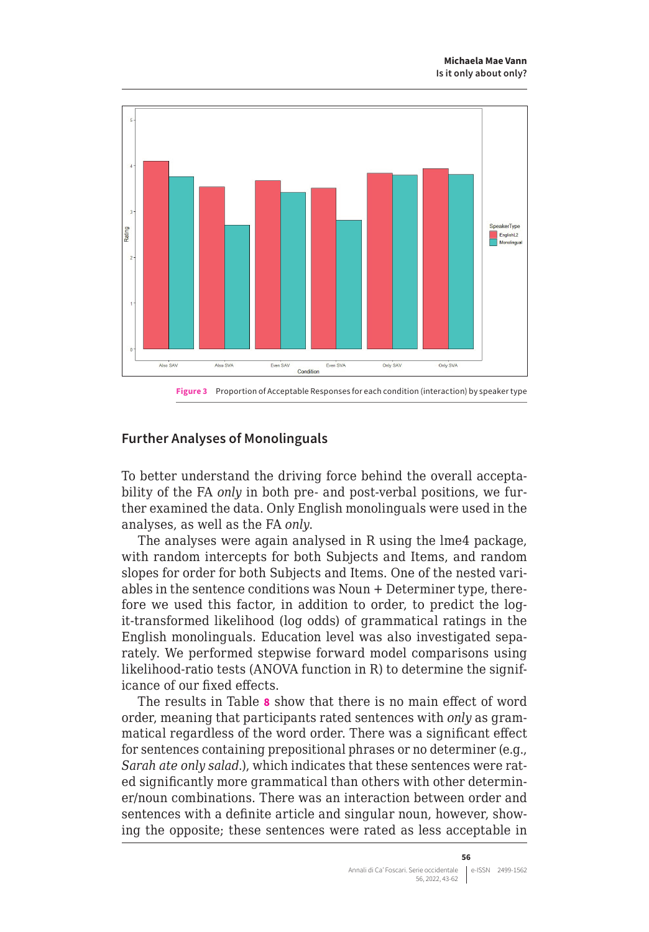

## **Further Analyses of Monolinguals**

To better understand the driving force behind the overall acceptability of the FA *only* in both pre- and post-verbal positions, we further examined the data. Only English monolinguals were used in the analyses, as well as the FA *only*.

The analyses were again analysed in R using the lme4 package, with random intercepts for both Subjects and Items, and random slopes for order for both Subjects and Items. One of the nested variables in the sentence conditions was Noun + Determiner type, therefore we used this factor, in addition to order, to predict the logit-transformed likelihood (log odds) of grammatical ratings in the English monolinguals. Education level was also investigated separately. We performed stepwise forward model comparisons using likelihood-ratio tests (ANOVA function in R) to determine the significance of our fixed effects.

The results in Table **8** show that there is no main effect of word order, meaning that participants rated sentences with *only* as grammatical regardless of the word order. There was a significant effect for sentences containing prepositional phrases or no determiner (e.g., *Sarah ate only salad.*), which indicates that these sentences were rated significantly more grammatical than others with other determiner/noun combinations. There was an interaction between order and sentences with a definite article and singular noun, however, showing the opposite; these sentences were rated as less acceptable in

**56**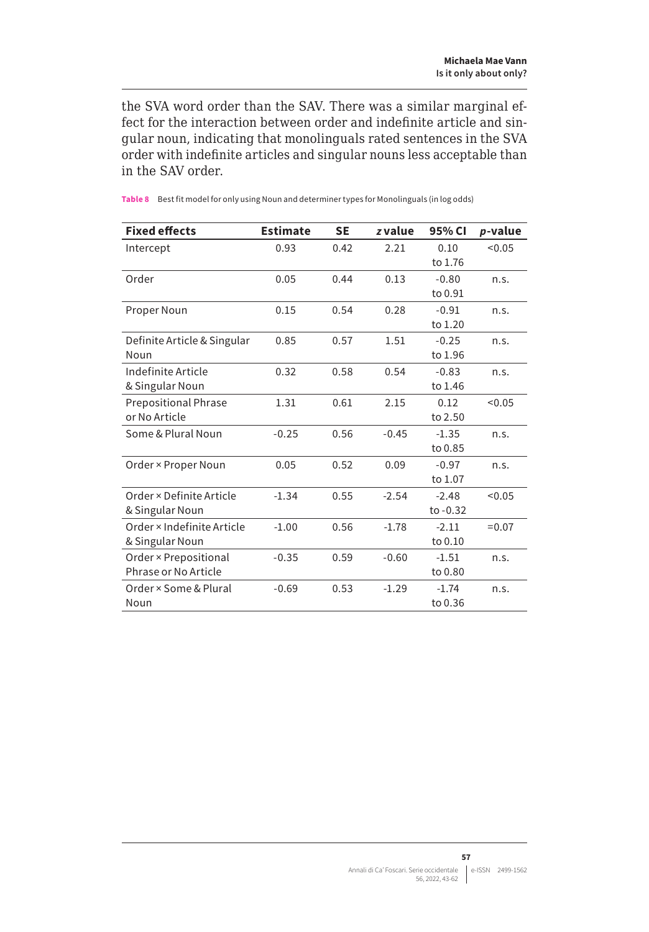the SVA word order than the SAV. There was a similar marginal effect for the interaction between order and indefinite article and singular noun, indicating that monolinguals rated sentences in the SVA order with indefinite articles and singular nouns less acceptable than in the SAV order.

| <b>Fixed effects</b>        | <b>Estimate</b> | <b>SE</b> | z value | 95% CI     | p-value  |
|-----------------------------|-----------------|-----------|---------|------------|----------|
| Intercept                   | 0.93            | 0.42      | 2.21    | 0.10       | < 0.05   |
|                             |                 |           |         | to 1.76    |          |
| Order                       | 0.05            | 0.44      | 0.13    | $-0.80$    | n.S.     |
|                             |                 |           |         | to 0.91    |          |
| Proper Noun                 | 0.15            | 0.54      | 0.28    | $-0.91$    | n.s.     |
|                             |                 |           |         | to 1.20    |          |
| Definite Article & Singular | 0.85            | 0.57      | 1.51    | $-0.25$    | n.s.     |
| Noun                        |                 |           |         | to 1.96    |          |
| Indefinite Article          | 0.32            | 0.58      | 0.54    | $-0.83$    | n.s.     |
| & Singular Noun             |                 |           |         | to 1.46    |          |
| <b>Prepositional Phrase</b> | 1.31            | 0.61      | 2.15    | 0.12       | < 0.05   |
| or No Article               |                 |           |         | to 2.50    |          |
| Some & Plural Noun          | $-0.25$         | 0.56      | $-0.45$ | $-1.35$    | n.s.     |
|                             |                 |           |         | to 0.85    |          |
| Order × Proper Noun         | 0.05            | 0.52      | 0.09    | $-0.97$    | n.s.     |
|                             |                 |           |         | to 1.07    |          |
| Order × Definite Article    | $-1.34$         | 0.55      | $-2.54$ | $-2.48$    | < 0.05   |
| & Singular Noun             |                 |           |         | to $-0.32$ |          |
| Order × Indefinite Article  | $-1.00$         | 0.56      | $-1.78$ | $-2.11$    | $= 0.07$ |
| & Singular Noun             |                 |           |         | to 0.10    |          |
| Order × Prepositional       | $-0.35$         | 0.59      | $-0.60$ | $-1.51$    | n.s.     |
| Phrase or No Article        |                 |           |         | to 0.80    |          |
| Order × Some & Plural       | $-0.69$         | 0.53      | $-1.29$ | $-1.74$    | n.s.     |
| Noun                        |                 |           |         | to 0.36    |          |

**Table 8** Best fit model for only using Noun and determiner types for Monolinguals (in log odds)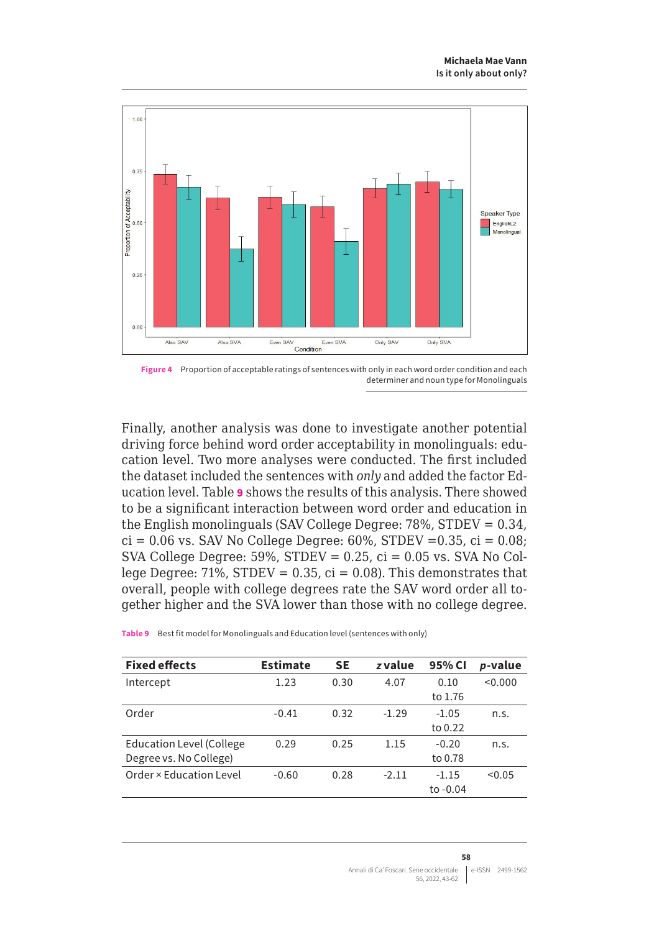

**Figure 4** Proportion of acceptable ratings of sentences with only in each word order condition and each determiner and noun type for Monolinguals

Finally, another analysis was done to investigate another potential driving force behind word order acceptability in monolinguals: education level. Two more analyses were conducted. The first included the dataset included the sentences with *only* and added the factor Education level. Table **9** shows the results of this analysis. There showed to be a significant interaction between word order and education in the English monolinguals (SAV College Degree: 78%, STDEV = 0.34,  $ci = 0.06$  vs. SAV No College Degree: 60%, STDEV = 0.35,  $ci = 0.08$ ; SVA College Degree:  $59\%$ , STDEV = 0.25,  $ci = 0.05$  vs. SVA No College Degree:  $71\%$ , STDEV = 0.35, ci = 0.08). This demonstrates that overall, people with college degrees rate the SAV word order all together higher and the SVA lower than those with no college degree.

| <b>Fixed effects</b>            | <b>Estimate</b> | <b>SE</b> | z value | 95% CI     | p-value |
|---------------------------------|-----------------|-----------|---------|------------|---------|
| Intercept                       | 1.23            | 0.30      | 4.07    | 0.10       | < 0.000 |
|                                 |                 |           |         | to 1.76    |         |
| Order                           | $-0.41$         | 0.32      | $-1.29$ | $-1.05$    | n.S.    |
|                                 |                 |           |         | to 0.22    |         |
| <b>Education Level (College</b> | 0.29            | 0.25      | 1.15    | $-0.20$    | n.S.    |
| Degree vs. No College)          |                 |           |         | to 0.78    |         |
| Order x Education Level         | $-0.60$         | 0.28      | $-2.11$ | $-1.15$    | < 0.05  |
|                                 |                 |           |         | to $-0.04$ |         |

**Table 9** Best fit model for Monolinguals and Education level (sentences with only)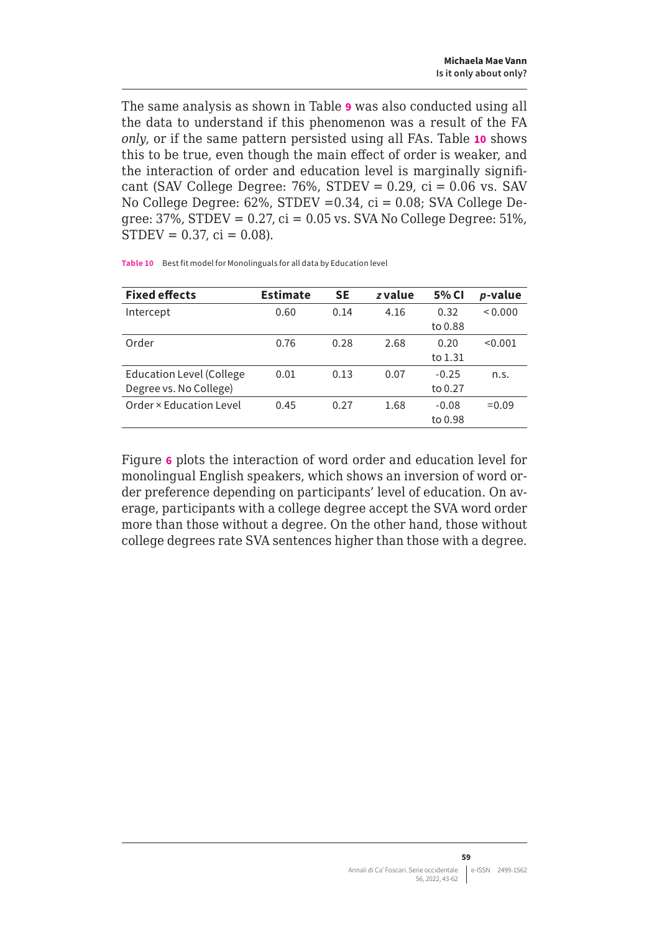<span id="page-16-0"></span>The same analysis as shown in Table **9** was also conducted using all the data to understand if this phenomenon was a result of the FA *only*, or if the same pattern persisted using all FAs. Table **10** shows this to be true, even though the main effect of order is weaker, and the interaction of order and education level is marginally significant (SAV College Degree:  $76\%$ , STDEV = 0.29, ci = 0.06 vs. SAV No College Degree: 62%, STDEV =0.34, ci = 0.08; SVA College Degree:  $37\%$ , STDEV =  $0.27$ , ci =  $0.05$  vs. SVA No College Degree:  $51\%$ ,  $STDEV = 0.37$ ,  $ci = 0.08$ ).

| <b>Fixed effects</b>            | <b>Estimate</b> | <b>SE</b> | z value | 5% CI   | p-value  |
|---------------------------------|-----------------|-----------|---------|---------|----------|
| Intercept                       | 0.60            | 0.14      | 4.16    | 0.32    | 0.000    |
|                                 |                 |           |         | to 0.88 |          |
| Order                           | 0.76            | 0.28      | 2.68    | 0.20    | < 0.001  |
|                                 |                 |           |         | to 1.31 |          |
| <b>Education Level (College</b> | 0.01            | 0.13      | 0.07    | $-0.25$ | n.S.     |
| Degree vs. No College)          |                 |           |         | to 0.27 |          |
| Order x Education Level         | 0.45            | 0.27      | 1.68    | $-0.08$ | $= 0.09$ |
|                                 |                 |           |         | to 0.98 |          |

**Table 10** Best fit model for Monolinguals for all data by Education level

Figure **6** plots the interaction of word order and education level for monolingual English speakers, which shows an inversion of word order preference depending on participants' level of education. On average, participants with a college degree accept the SVA word order more than those without a degree. On the other hand, those without college degrees rate SVA sentences higher than those with a degree.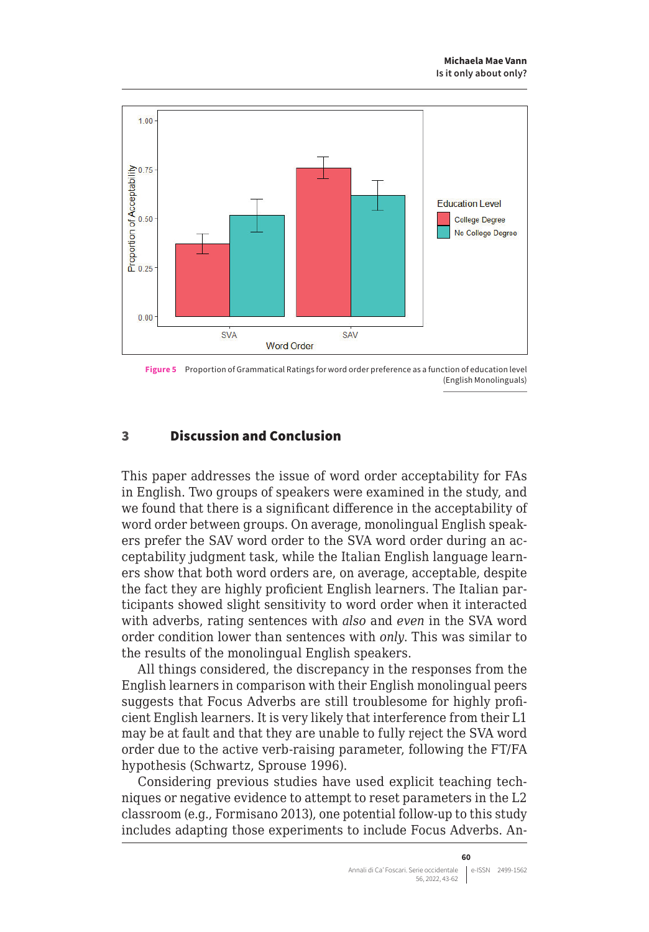

**Figure 5** Proportion of Grammatical Ratings for word order preference as a function of education level (English Monolinguals)

# 3 Discussion and Conclusion

This paper addresses the issue of word order acceptability for FAs in English. Two groups of speakers were examined in the study, and we found that there is a significant difference in the acceptability of word order between groups. On average, monolingual English speakers prefer the SAV word order to the SVA word order during an acceptability judgment task, while the Italian English language learners show that both word orders are, on average, acceptable, despite the fact they are highly proficient English learners. The Italian participants showed slight sensitivity to word order when it interacted with adverbs, rating sentences with *also* and *even* in the SVA word order condition lower than sentences with *only*. This was similar to the results of the monolingual English speakers.

All things considered, the discrepancy in the responses from the English learners in comparison with their English monolingual peers suggests that Focus Adverbs are still troublesome for highly proficient English learners. It is very likely that interference from their L1 may be at fault and that they are unable to fully reject the SVA word order due to the active verb-raising parameter, following the FT/FA hypothesis (Schwartz, Sprouse 1996).

Considering previous studies have used explicit teaching techniques or negative evidence to attempt to reset parameters in the L2 classroom (e.g., Formisano 2013), one potential follow-up to this study includes adapting those experiments to include Focus Adverbs. An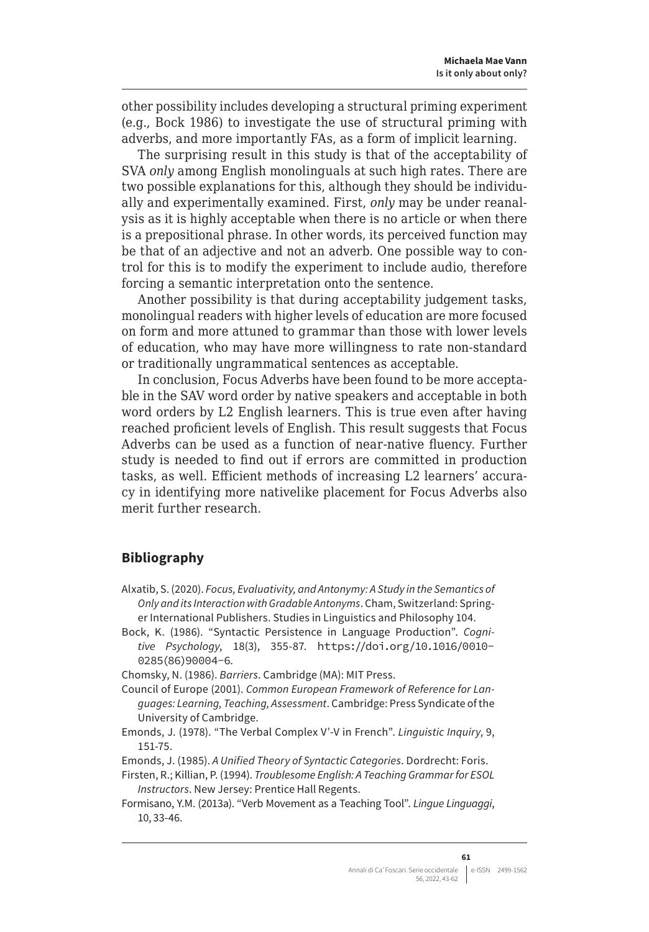other possibility includes developing a structural priming experiment (e.g., Bock 1986) to investigate the use of structural priming with adverbs, and more importantly FAs, as a form of implicit learning.

The surprising result in this study is that of the acceptability of SVA *only* among English monolinguals at such high rates. There are two possible explanations for this, although they should be individually and experimentally examined. First, *only* may be under reanalysis as it is highly acceptable when there is no article or when there is a prepositional phrase. In other words, its perceived function may be that of an adjective and not an adverb. One possible way to control for this is to modify the experiment to include audio, therefore forcing a semantic interpretation onto the sentence.

Another possibility is that during acceptability judgement tasks, monolingual readers with higher levels of education are more focused on form and more attuned to grammar than those with lower levels of education, who may have more willingness to rate non-standard or traditionally ungrammatical sentences as acceptable.

In conclusion, Focus Adverbs have been found to be more acceptable in the SAV word order by native speakers and acceptable in both word orders by L2 English learners. This is true even after having reached proficient levels of English. This result suggests that Focus Adverbs can be used as a function of near-native fluency. Further study is needed to find out if errors are committed in production tasks, as well. Efficient methods of increasing L2 learners' accuracy in identifying more nativelike placement for Focus Adverbs also merit further research.

#### **Bibliography**

- Alxatib, S. (2020). *Focus, Evaluativity, and Antonymy: A Study in the Semantics of Only and its Interaction with Gradable Antonyms*. Cham, Switzerland: Springer International Publishers. Studies in Linguistics and Philosophy 104.
- Bock, K. (1986). "Syntactic Persistence in Language Production". *Cognitive Psychology*, 18(3), 355-87. [https://doi.org/10.1016/0010-](https://doi.org/10.1016/0010-0285(86)90004-6) [0285\(86\)90004-6](https://doi.org/10.1016/0010-0285(86)90004-6).

Chomsky, N. (1986). *Barriers*. Cambridge (MA): MIT Press.

- Council of Europe (2001). *Common European Framework of Reference for Languages: Learning, Teaching, Assessment*. Cambridge: Press Syndicate of the University of Cambridge.
- Emonds, J. (1978). "The Verbal Complex V'-V in French". *Linguistic Inquiry*, 9, 151-75.
- Emonds, J. (1985). *A Unified Theory of Syntactic Categories*. Dordrecht: Foris.
- Firsten, R.; Killian, P. (1994). *Troublesome English: A Teaching Grammar for ESOL Instructors*. New Jersey: Prentice Hall Regents.
- Formisano, Y.M. (2013a). "Verb Movement as a Teaching Tool". *Lingue Linguaggi*, 10, 33-46.